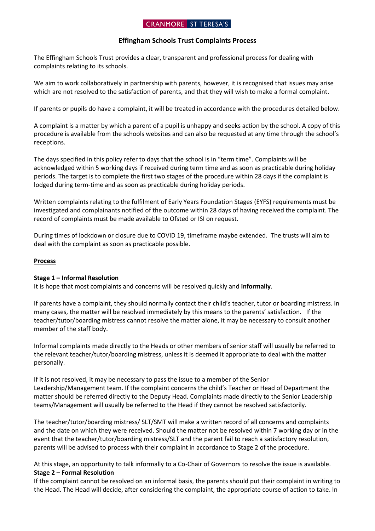# **CRANMORE ST TERESA'S**

## **Effingham Schools Trust Complaints Process**

The Effingham Schools Trust provides a clear, transparent and professional process for dealing with complaints relating to its schools.

We aim to work collaboratively in partnership with parents, however, it is recognised that issues may arise which are not resolved to the satisfaction of parents, and that they will wish to make a formal complaint.

If parents or pupils do have a complaint, it will be treated in accordance with the procedures detailed below.

A complaint is a matter by which a parent of a pupil is unhappy and seeks action by the school. A copy of this procedure is available from the schools websites and can also be requested at any time through the school's receptions.

The days specified in this policy refer to days that the school is in "term time". Complaints will be acknowledged within 5 working days if received during term time and as soon as practicable during holiday periods. The target is to complete the first two stages of the procedure within 28 days if the complaint is lodged during term-time and as soon as practicable during holiday periods.

Written complaints relating to the fulfilment of Early Years Foundation Stages (EYFS) requirements must be investigated and complainants notified of the outcome within 28 days of having received the complaint. The record of complaints must be made available to Ofsted or ISI on request.

During times of lockdown or closure due to COVID 19, timeframe maybe extended. The trusts will aim to deal with the complaint as soon as practicable possible.

### **Process**

### **Stage 1 – Informal Resolution**

It is hope that most complaints and concerns will be resolved quickly and **informally**.

If parents have a complaint, they should normally contact their child's teacher, tutor or boarding mistress. In many cases, the matter will be resolved immediately by this means to the parents' satisfaction. If the teacher/tutor/boarding mistress cannot resolve the matter alone, it may be necessary to consult another member of the staff body.

Informal complaints made directly to the Heads or other members of senior staff will usually be referred to the relevant teacher/tutor/boarding mistress, unless it is deemed it appropriate to deal with the matter personally.

If it is not resolved, it may be necessary to pass the issue to a member of the Senior Leadership/Management team. If the complaint concerns the child's Teacher or Head of Department the matter should be referred directly to the Deputy Head. Complaints made directly to the Senior Leadership teams/Management will usually be referred to the Head if they cannot be resolved satisfactorily.

The teacher/tutor/boarding mistress/ SLT/SMT will make a written record of all concerns and complaints and the date on which they were received. Should the matter not be resolved within 7 working day or in the event that the teacher/tutor/boarding mistress/SLT and the parent fail to reach a satisfactory resolution, parents will be advised to process with their complaint in accordance to Stage 2 of the procedure.

At this stage, an opportunity to talk informally to a Co-Chair of Governors to resolve the issue is available. **Stage 2 – Formal Resolution**

If the complaint cannot be resolved on an informal basis, the parents should put their complaint in writing to the Head. The Head will decide, after considering the complaint, the appropriate course of action to take. In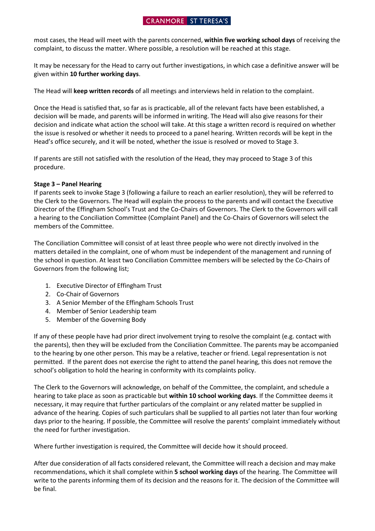## **CRANMORE** ST TERESA'S

most cases, the Head will meet with the parents concerned, **within five working school days** of receiving the complaint, to discuss the matter. Where possible, a resolution will be reached at this stage.

It may be necessary for the Head to carry out further investigations, in which case a definitive answer will be given within **10 further working days**.

The Head will **keep written records** of all meetings and interviews held in relation to the complaint.

Once the Head is satisfied that, so far as is practicable, all of the relevant facts have been established, a decision will be made, and parents will be informed in writing. The Head will also give reasons for their decision and indicate what action the school will take. At this stage a written record is required on whether the issue is resolved or whether it needs to proceed to a panel hearing. Written records will be kept in the Head's office securely, and it will be noted, whether the issue is resolved or moved to Stage 3.

If parents are still not satisfied with the resolution of the Head, they may proceed to Stage 3 of this procedure.

## **Stage 3 – Panel Hearing**

If parents seek to invoke Stage 3 (following a failure to reach an earlier resolution), they will be referred to the Clerk to the Governors. The Head will explain the process to the parents and will contact the Executive Director of the Effingham School's Trust and the Co-Chairs of Governors. The Clerk to the Governors will call a hearing to the Conciliation Committee (Complaint Panel) and the Co-Chairs of Governors will select the members of the Committee.

The Conciliation Committee will consist of at least three people who were not directly involved in the matters detailed in the complaint, one of whom must be independent of the management and running of the school in question. At least two Conciliation Committee members will be selected by the Co-Chairs of Governors from the following list;

- 1. Executive Director of Effingham Trust
- 2. Co-Chair of Governors
- 3. A Senior Member of the Effingham Schools Trust
- 4. Member of Senior Leadership team
- 5. Member of the Governing Body

If any of these people have had prior direct involvement trying to resolve the complaint (e.g. contact with the parents), then they will be excluded from the Conciliation Committee. The parents may be accompanied to the hearing by one other person. This may be a relative, teacher or friend. Legal representation is not permitted. If the parent does not exercise the right to attend the panel hearing, this does not remove the school's obligation to hold the hearing in conformity with its complaints policy.

The Clerk to the Governors will acknowledge, on behalf of the Committee, the complaint, and schedule a hearing to take place as soon as practicable but **within 10 school working days**. If the Committee deems it necessary, it may require that further particulars of the complaint or any related matter be supplied in advance of the hearing. Copies of such particulars shall be supplied to all parties not later than four working days prior to the hearing. If possible, the Committee will resolve the parents' complaint immediately without the need for further investigation.

Where further investigation is required, the Committee will decide how it should proceed.

After due consideration of all facts considered relevant, the Committee will reach a decision and may make recommendations, which it shall complete within **5 school working days** of the hearing. The Committee will write to the parents informing them of its decision and the reasons for it. The decision of the Committee will be final.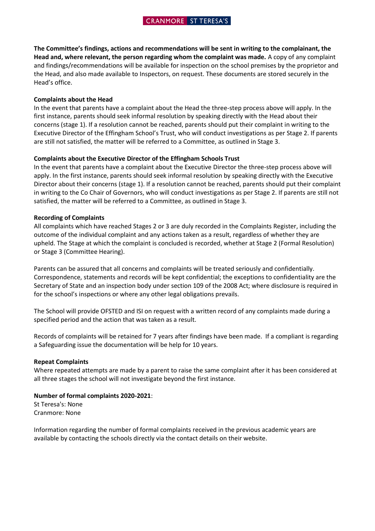**The Committee's findings, actions and recommendations will be sent in writing to the complainant, the Head and, where relevant, the person regarding whom the complaint was made.** A copy of any complaint and findings/recommendations will be available for inspection on the school premises by the proprietor and the Head, and also made available to Inspectors, on request. These documents are stored securely in the Head's office.

#### **Complaints about the Head**

In the event that parents have a complaint about the Head the three-step process above will apply. In the first instance, parents should seek informal resolution by speaking directly with the Head about their concerns (stage 1). If a resolution cannot be reached, parents should put their complaint in writing to the Executive Director of the Effingham School's Trust, who will conduct investigations as per Stage 2. If parents are still not satisfied, the matter will be referred to a Committee, as outlined in Stage 3.

#### **Complaints about the Executive Director of the Effingham Schools Trust**

In the event that parents have a complaint about the Executive Director the three-step process above will apply. In the first instance, parents should seek informal resolution by speaking directly with the Executive Director about their concerns (stage 1). If a resolution cannot be reached, parents should put their complaint in writing to the Co Chair of Governors, who will conduct investigations as per Stage 2. If parents are still not satisfied, the matter will be referred to a Committee, as outlined in Stage 3.

#### **Recording of Complaints**

All complaints which have reached Stages 2 or 3 are duly recorded in the Complaints Register, including the outcome of the individual complaint and any actions taken as a result, regardless of whether they are upheld. The Stage at which the complaint is concluded is recorded, whether at Stage 2 (Formal Resolution) or Stage 3 (Committee Hearing).

Parents can be assured that all concerns and complaints will be treated seriously and confidentially. Correspondence, statements and records will be kept confidential; the exceptions to confidentiality are the Secretary of State and an inspection body under section 109 of the 2008 Act; where disclosure is required in for the school's inspections or where any other legal obligations prevails.

The School will provide OFSTED and ISI on request with a written record of any complaints made during a specified period and the action that was taken as a result.

Records of complaints will be retained for 7 years after findings have been made. If a compliant is regarding a Safeguarding issue the documentation will be help for 10 years.

#### **Repeat Complaints**

Where repeated attempts are made by a parent to raise the same complaint after it has been considered at all three stages the school will not investigate beyond the first instance.

#### **Number of formal complaints 2020-2021**:

St Teresa's: None Cranmore: None

Information regarding the number of formal complaints received in the previous academic years are available by contacting the schools directly via the contact details on their website.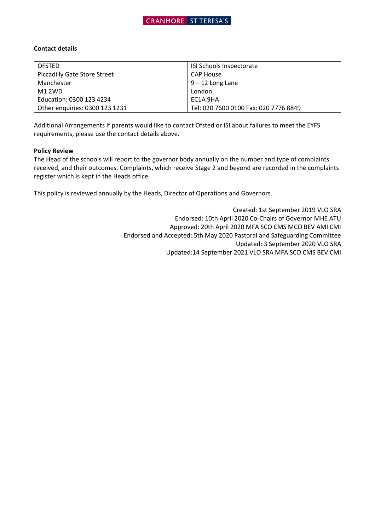

### **Contact details**

| <b>OFSTED</b>                       | ISI Schools Inspectorate              |
|-------------------------------------|---------------------------------------|
| <b>Piccadilly Gate Store Street</b> | <b>CAP House</b>                      |
| Manchester                          | $9 - 12$ Long Lane                    |
| M1 2WD                              | London                                |
| Education: 0300 123 4234            | EC1A 9HA                              |
| Other enguiries: 0300 123 1231      | Tel: 020 7600 0100 Fax: 020 7776 8849 |

Additional Arrangements If parents would like to contact Ofsted or ISI about failures to meet the EYFS requirements, please use the contact details above.

## **Policy Review**

The Head of the schools will report to the governor body annually on the number and type of complaints received, and their outcomes. Complaints, which receive Stage 2 and beyond are recorded in the complaints register which is kept in the Heads office.

This policy is reviewed annually by the Heads, Director of Operations and Governors.

Created: 1st September 2019 VLO SRA Endorsed: 10th April 2020 Co-Chairs of Governor MHE ATU Approved: 20th April 2020 MFA SCO CMS MCO BEV AMI CMI Endorsed and Accepted: 5th May 2020 Pastoral and Safeguarding Committee Updated: 3 September 2020 VLO SRA Updated:14 September 2021 VLO SRA MFA SCO CMS BEV CMI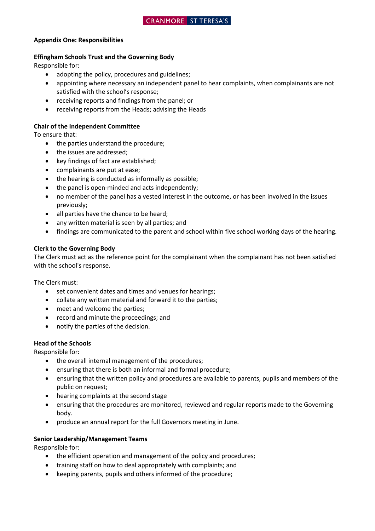## **Appendix One: Responsibilities**

## **Effingham Schools Trust and the Governing Body**

Responsible for:

- adopting the policy, procedures and guidelines;
- appointing where necessary an independent panel to hear complaints, when complainants are not satisfied with the school's response;
- receiving reports and findings from the panel; or
- receiving reports from the Heads; advising the Heads

# **Chair of the Independent Committee**

To ensure that:

- the parties understand the procedure;
- the issues are addressed;
- key findings of fact are established;
- complainants are put at ease;
- the hearing is conducted as informally as possible;
- the panel is open-minded and acts independently;
- no member of the panel has a vested interest in the outcome, or has been involved in the issues previously;
- all parties have the chance to be heard;
- any written material is seen by all parties; and
- findings are communicated to the parent and school within five school working days of the hearing.

# **Clerk to the Governing Body**

The Clerk must act as the reference point for the complainant when the complainant has not been satisfied with the school's response.

The Clerk must:

- set convenient dates and times and venues for hearings;
- collate any written material and forward it to the parties;
- meet and welcome the parties;
- record and minute the proceedings; and
- notify the parties of the decision.

# **Head of the Schools**

Responsible for:

- the overall internal management of the procedures;
- ensuring that there is both an informal and formal procedure;
- ensuring that the written policy and procedures are available to parents, pupils and members of the public on request;
- hearing complaints at the second stage
- ensuring that the procedures are monitored, reviewed and regular reports made to the Governing body.
- produce an annual report for the full Governors meeting in June.

# **Senior Leadership/Management Teams**

Responsible for:

- the efficient operation and management of the policy and procedures;
- training staff on how to deal appropriately with complaints; and
- keeping parents, pupils and others informed of the procedure;